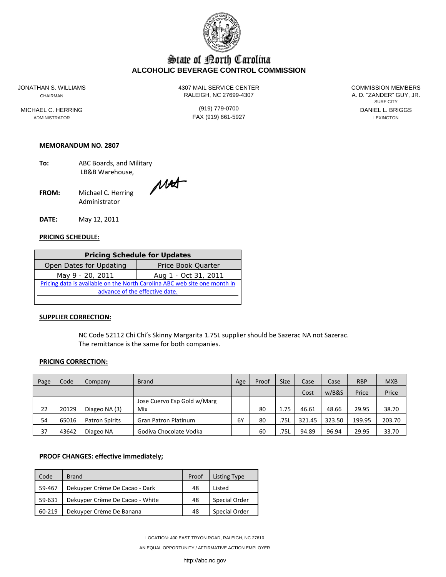

# State of Borth Carolina **ALCOHOLIC BEVERAGE CONTROL COMMISSION**

ADMINISTRATOR LEXINGTON **FAX (919) 661-5927 Existence Lexington** 

JONATHAN S. WILLIAMS 4307 MAIL SERVICE CENTER COMMISSION MEMBERS CHAIRMAN CHAIRMAN RALEIGH, NC 27699-4307

SURF CITY MICHAEL C. HERRING **EXECUTE:** (919) 779-0700 **CONTACT CONTACT AND ALL CONTACT CONTACT CONTACT (919)** 779-0700

#### **MEMORANDUM NO. 2807**

- **To:** ABC Boards, and Military LB&B Warehouse,
- FROM: Michael C. Herring MAT Administrator

**DATE:** May 12, 2011

# **PRICING SCHEDULE:**

| <b>Pricing Schedule for Updates</b>                                       |                      |  |  |  |  |
|---------------------------------------------------------------------------|----------------------|--|--|--|--|
| Open Dates for Updating<br>Price Book Quarter                             |                      |  |  |  |  |
| May 9 - 20, 2011                                                          | Aug 1 - Oct 31, 2011 |  |  |  |  |
| Pricing data is available on the North Carolina ABC web site one month in |                      |  |  |  |  |
| advance of the effective date.                                            |                      |  |  |  |  |

#### **SUPPLIER CORRECTION:**

NC Code 52112 Chi Chi's Skinny Margarita 1.75L supplier should be Sazerac NA not Sazerac. The remittance is the same for both companies.

#### **PRICING CORRECTION:**

| Page | Code  | Company               | <b>Brand</b>                | Age | Proof | <b>Size</b> | Case   | Case   | <b>RBP</b> | <b>MXB</b> |
|------|-------|-----------------------|-----------------------------|-----|-------|-------------|--------|--------|------------|------------|
|      |       |                       |                             |     |       |             | Cost   | w/B&S  | Price      | Price      |
|      |       |                       | Jose Cuervo Esp Gold w/Marg |     |       |             |        |        |            |            |
| 22   | 20129 | Diageo NA (3)         | Mix                         |     | 80    | 1.75        | 46.61  | 48.66  | 29.95      | 38.70      |
| 54   | 65016 | <b>Patron Spirits</b> | <b>Gran Patron Platinum</b> | 6Y  | 80    | 75L         | 321.45 | 323.50 | 199.95     | 203.70     |
| 37   | 43642 | Diageo NA             | Godiva Chocolate Vodka      |     | 60    | .75L        | 94.89  | 96.94  | 29.95      | 33.70      |

# **PROOF CHANGES: effective immediately;**

| Code   | <b>Brand</b>                    | Proof | Listing Type         |
|--------|---------------------------------|-------|----------------------|
| 59-467 | Dekuyper Crème De Cacao - Dark  | 48    | Listed               |
| 59-631 | Dekuyper Crème De Cacao - White | 48    | <b>Special Order</b> |
| 60-219 | Dekuyper Crème De Banana        | 48    | <b>Special Order</b> |

LOCATION: 400 EAST TRYON ROAD, RALEIGH, NC 27610

AN EQUAL OPPORTUNITY / AFFIRMATIVE ACTION EMPLOYER

http://abc.nc.gov